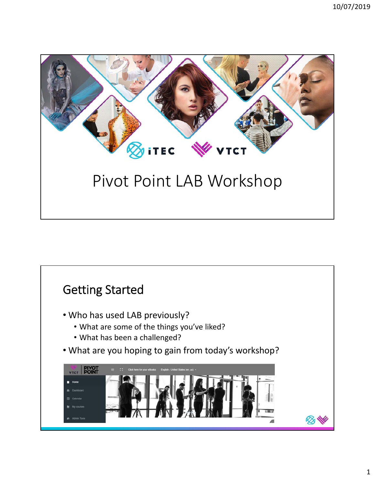

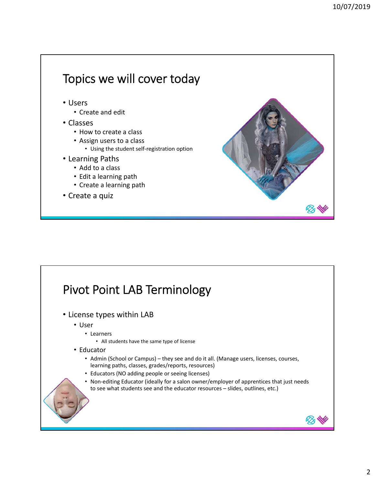# Topics we will cover today

- Users
	- Create and edit
- Classes
	- How to create a class
	- Assign users to a class
		- Using the student self‐registration option
- Learning Paths
	- Add to a class
	- Edit a learning path
	- Create a learning path
- Create a quiz

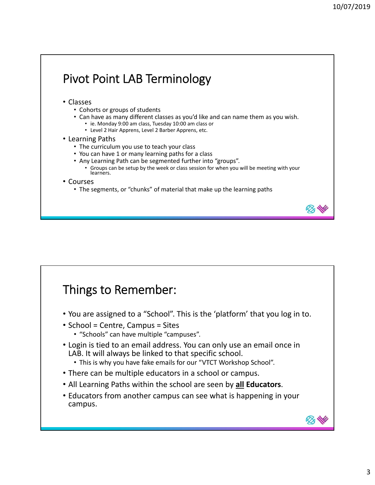⊗

**BOY NO** 

## Pivot Point LAB Terminology

#### • Classes

- Cohorts or groups of students
- Can have as many different classes as you'd like and can name them as you wish.
	- ie. Monday 9:00 am class, Tuesday 10:00 am class or
	- Level 2 Hair Apprens, Level 2 Barber Apprens, etc.

#### • Learning Paths

- The curriculum you use to teach your class
- You can have 1 or many learning paths for a class
- Any Learning Path can be segmented further into "groups".
	- Groups can be setup by the week or class session for when you will be meeting with your learners.
- Courses
	- The segments, or "chunks" of material that make up the learning paths

### Things to Remember:

- You are assigned to a "School". This is the 'platform' that you log in to.
- School = Centre, Campus = Sites
	- "Schools" can have multiple "campuses".
- Login is tied to an email address. You can only use an email once in LAB. It will always be linked to that specific school.
	- This is why you have fake emails for our "VTCT Workshop School".
- There can be multiple educators in a school or campus.
- All Learning Paths within the school are seen by **all Educators**.
- Educators from another campus can see what is happening in your campus.